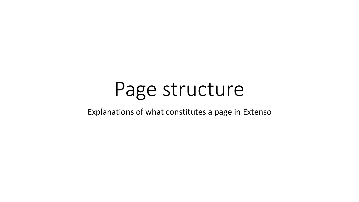## Page structure

Explanations of what constitutes a page in Extenso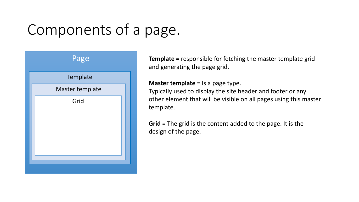## Components of a page.



**Template =** responsible for fetching the master template grid and generating the page grid.

#### **Master template** = Is a page type.

Typically used to display the site header and footer or any other element that will be visible on all pages using this master template.

**Grid** = The grid is the content added to the page. It is the design of the page.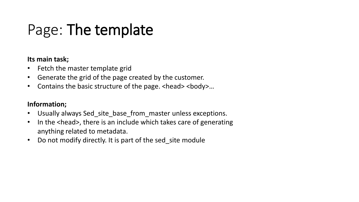### Page: The template

#### **Its main task;**

- Fetch the master template grid
- Generate the grid of the page created by the customer.
- Contains the basic structure of the page. <head> <br/>body>...

#### **Information;**

- Usually always Sed\_site\_base\_from\_master unless exceptions.
- In the <head>, there is an include which takes care of generating anything related to metadata.
- Do not modify directly. It is part of the sed site module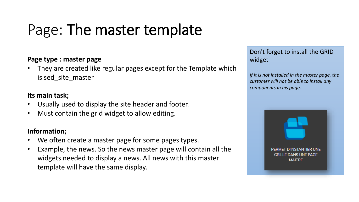### Page: The master template

#### **Page type : master page**

• They are created like regular pages except for the Template which is sed\_site\_master

#### **Its main task;**

- Usually used to display the site header and footer.
- Must contain the grid widget to allow editing.

#### **Information;**

- We often create a master page for some pages types.
- Example, the news. So the news master page will contain all the widgets needed to display a news. All news with this master template will have the same display.

Don't forget to install the GRID widget

*If it is not installed in the master page, the customer will not be able to install any components in his page.*

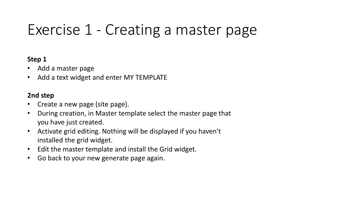### Exercise 1 - Creating a master page

#### **Step 1**

- Add a master page
- Add a text widget and enter MY TEMPLATE

#### **2nd step**

- Create a new page (site page).
- During creation, in Master template select the master page that you have just created.
- Activate grid editing. Nothing will be displayed if you haven't installed the grid widget.
- Edit the master template and install the Grid widget.
- Go back to your new generate page again.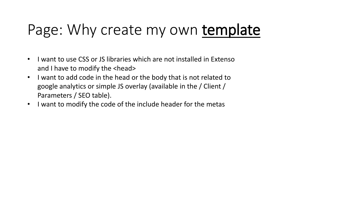### Page: Why create my own template

- I want to use CSS or JS libraries which are not installed in Extenso and I have to modify the <head>
- I want to add code in the head or the body that is not related to google analytics or simple JS overlay (available in the / Client / Parameters / SEO table).
- I want to modify the code of the include header for the metas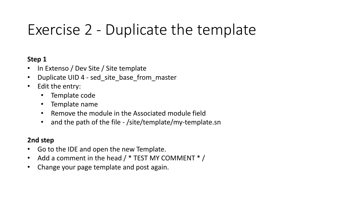### Exercise 2 - Duplicate the template

#### **Step 1**

- In Extenso / Dev Site / Site template
- Duplicate UID 4 sed site base from master
- Edit the entry:
	- Template code
	- Template name
	- Remove the module in the Associated module field
	- and the path of the file /site/template/my-template.sn

### **2nd step**

- Go to the IDE and open the new Template.
- Add a comment in the head  $/$  \* TEST MY COMMENT  $*$  /
- Change your page template and post again.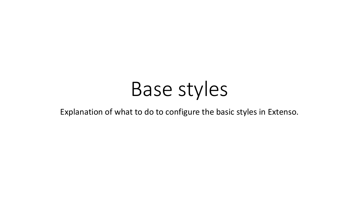# Base styles

Explanation of what to do to configure the basic styles in Extenso.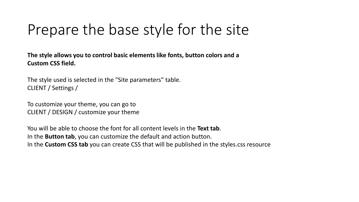### Prepare the base style for the site

**The style allows you to control basic elements like fonts, button colors and a Custom CSS field.**

The style used is selected in the "Site parameters" table. CLIENT / Settings /

To customize your theme, you can go to CLIENT / DESIGN / customize your theme

You will be able to choose the font for all content levels in the **Text tab**. In the **Button tab**, you can customize the default and action button. In the **Custom CSS tab** you can create CSS that will be published in the styles.css resource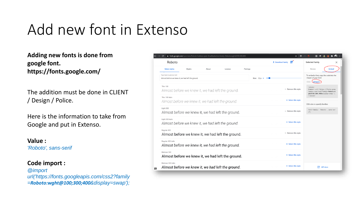### Add new font in Extenso

**Adding new fonts is done from google font. https://fonts.google.com/**

The addition must be done in CLIENT / Design / Police.

Here is the information to take from Google and put in Extenso.

#### **Value :**

*'Roboto', sans-serif*

**Code import :** *@import url('https://fonts.googleapis.com/css2?family =Roboto:wght@100;300;400&display=swap');*

| C<br><b>△</b> fonts.google.com/specimen/Roboto?sidebar.open=true&selection.family=Roboto:wght@100;300;400 |        |       |         |          | ۰<br>☆<br>s                |                                  |                                                                                                                              |
|-----------------------------------------------------------------------------------------------------------|--------|-------|---------|----------|----------------------------|----------------------------------|------------------------------------------------------------------------------------------------------------------------------|
| Roboto                                                                                                    |        |       |         |          |                            | w<br>$\triangle$ Download family | Selected family<br>$\times$                                                                                                  |
| <b>Select styles</b>                                                                                      | Glyphs | About | License | Pairings |                            |                                  | <b>Embed</b><br>Review                                                                                                       |
| Type here to preview text<br>Almost before we knew it, we had left the ground.                            |        |       |         |          | Size: $30px$ $\rightarrow$ |                                  | To embed a font, copy the code into the<br><head> of your html<br/>@import<br/><math>&lt;</math>link<math>&gt;</math></head> |
| <b>Thin 100</b><br>Almost before we knew it, we had left the ground.                                      |        |       |         |          |                            | $-$ Remove this style            | <style></style>                                                                                                              |